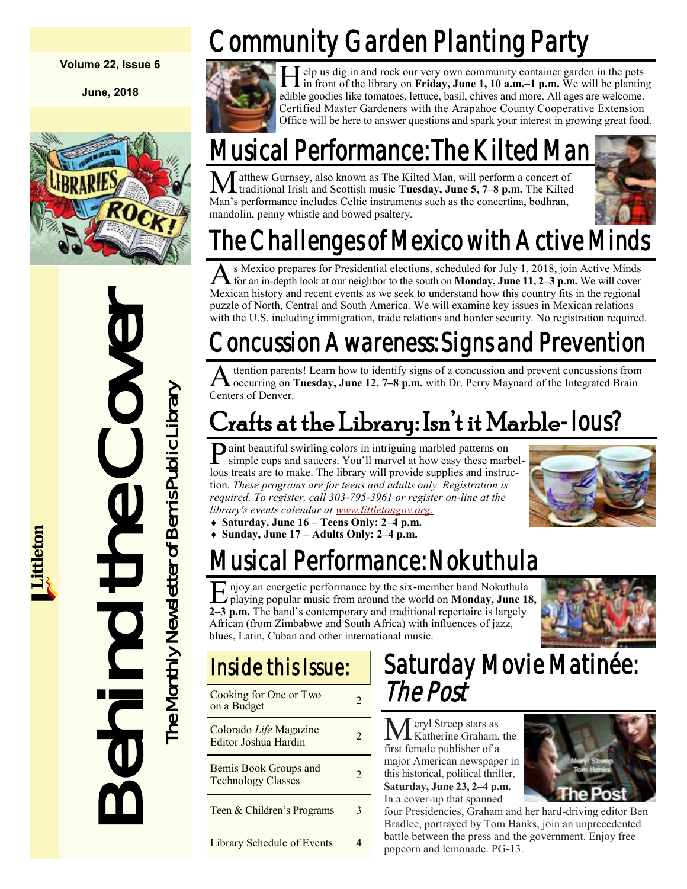#### **Volume 22, Issue 6**

**June, 2018**



# Mexican history and recent ever<br>with the U.S. including immigred of North, Central and So<br>with the U.S. including immigred with the Cover Countries of Denver.<br>
The start as a tree in the Library of The Contents of Denver.<br>

# Community Garden Planting Party



**H** elp us dig in and rock our very own community container garden in the pots in front of the library on **Friday**, June 1, 10 a.m.–1 p.m. We will be planting elp us dig in and rock our very own community container garden in the pots edible goodies like tomatoes, lettuce, basil, chives and more. All ages are welcome. Certified Master Gardeners with the Arapahoe County Cooperative Extension Office will be here to answer questions and spark your interest in growing great food.

## Musical Performance: The Kilted

atthew Gurnsey, also known as The Kilted Man, will perform a concert of traditional Irish and Scottish music **Tuesday, June 5, 7–8 p.m.** The Kilted Man's performance includes Celtic instruments such as the concertina, bodhran, mandolin, penny whistle and bowed psaltery.



# The Challenges of Mexico with Active Minds

A s Mexico prepares for Presidential elections, scheduled for July 1, 2018, join Active Minds<br>for an in-depth look at our neighbor to the south on **Monday, June 11, 2–3 p.m.** We will cover s Mexico prepares for Presidential elections, scheduled for July 1, 2018, join Active Minds Mexican history and recent events as we seek to understand how this country fits in the regional puzzle of North, Central and South America. We will examine key issues in Mexican relations with the U.S. including immigration, trade relations and border security. No registration required.

## Concussion Awareness: Signs and Prevention

A ttention parents! Learn how to identify signs of a concussion and prevent concussions from<br>
Coccurring on **Tuesday, June 12, 7–8 p.m.** with Dr. Perry Maynard of the Integrated Brain ttention parents! Learn how to identify signs of a concussion and prevent concussions from Centers of Denver.

## Crafts at the Library: Isn't it Marble-lous?

P aint beautiful swirling colors in intriguing marbled patterns on simple cups and saucers. You'll marvel at how easy these marb simple cups and saucers. You'll marvel at how easy these marbellous treats are to make. The library will provide supplies and instruction. *These programs are for teens and adults only. Registration is required. To register, call 303-795-3961 or register on-line at the library's events calendar at [www.littletongov.org.](https://www.littletongov.org/city-services/city-departments/bemis-library/library-events-calendar/-curm-6/-cury-2018)*



**Sunday, June 17 – Adults Only: 2–4 p.m.**

## Musical Performance: Nokuthula

E playing popular music from around the world on **Monday, June 18,**  njoy an energetic performance by the six-member band Nokuthula **2–3 p.m.** The band's contemporary and traditional repertoire is largely African (from Zimbabwe and South Africa) with influences of jazz, blues, Latin, Cuban and other international music.





| Cooking for One or Two<br>on a Budget              | 2 |
|----------------------------------------------------|---|
| Colorado Life Magazine<br>Editor Joshua Hardin     | 2 |
| Bemis Book Groups and<br><b>Technology Classes</b> | 2 |
| Teen & Children's Programs                         | 3 |
| Library Schedule of Events                         |   |

## Saturday Movie Matinée: The Post

Meryl Streep stars as Katherine Graham, the first female publisher of a major American newspaper in this historical, political thriller, **Saturday, June 23, 2–4 p.m.** In a cover-up that spanned



four Presidencies, Graham and her hard-driving editor Ben Bradlee, portrayed by Tom Hanks, join an unprecedented battle between the press and the government. Enjoy free popcorn and lemonade. PG-13.

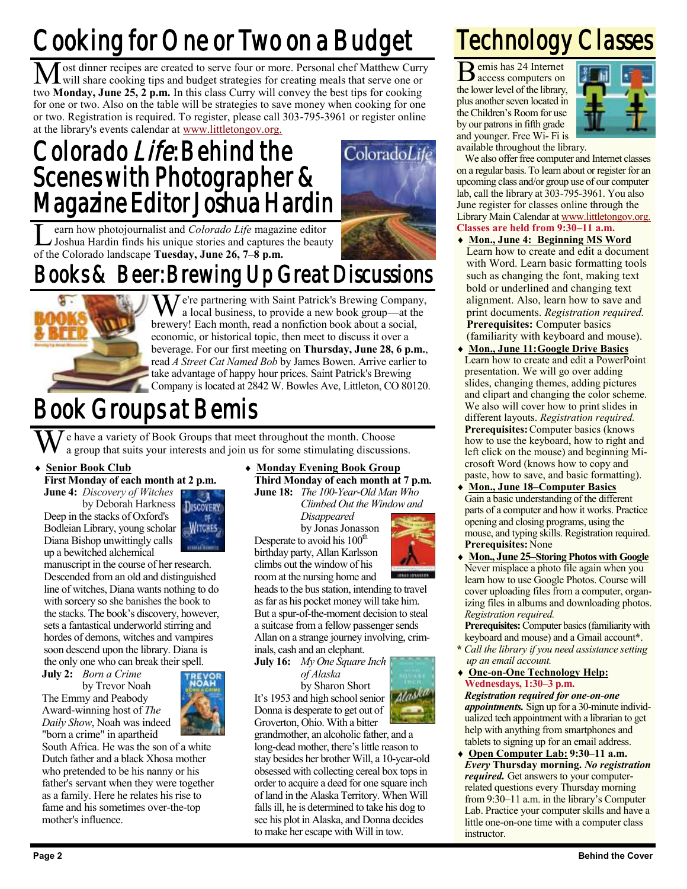# Cooking for One or Two on a Budget

Most dinner recipes are created to serve four or more. Personal chef Matthew Curry will share cooking tips and budget strategies for creating meals that serve one or two **Monday, June 25, 2 p.m.** In this class Curry will convey the best tips for cooking for one or two. Also on the table will be strategies to save money when cooking for one or two. Registration is required. To register, please call 303-795-3961 or register online at the library's events calendar at [www.littletongov.org.](https://www.littletongov.org/city-services/city-departments/bemis-library/library-events-calendar/-curm-6/-cury-2018/-selcat-3)

## Colorado Life: Behind the Scenes with Photographer & Magazine Editor Joshua Hardin

**L** earn how photojournalist and *Colorado Life* magaz<br>Joshua Hardin finds his unique stories and captures<br>of the Colorado landscape **Tuesday, June 26, 7–8 p.m.** earn how photojournalist and *Colorado Life* magazine editor Joshua Hardin finds his unique stories and captures the beauty

## Books & Beer: Brewing Up Great Discussions



 $\overline{Z}$   $\overline{Z}$   $\overline{Z}$  arthering with Saint Patrick's Brewing Company, a local business, to provide a new book group—at the brewery! Each month, read a nonfiction book about a social, economic, or historical topic, then meet to discuss it over a beverage. For our first meeting on **Thursday, June 28, 6 p.m.**, read *A Street Cat Named Bob* by James Bowen. Arrive earlier to take advantage of happy hour prices. Saint Patrick's Brewing Company is located at 2842 W. Bowles Ave, Littleton, CO 80120.

## Book Groups at Bemis

e have a variety of Book Groups that meet throughout the month. Choose a group that suits your interests and join us for some stimulating discussions.

**Senior Book Club**

**First Monday of each month at 2 p.m.**

**June 4:** *Discovery of Witches* by Deborah Harkness Deep in the stacks of Oxford's Bodleian Library, young scholar Diana Bishop unwittingly calls

up a bewitched alchemical manuscript in the course of her research. Descended from an old and distinguished line of witches, Diana wants nothing to do with sorcery so she banishes the book to the stacks. The book's discovery, however, sets a fantastical underworld stirring and hordes of demons, witches and vampires soon descend upon the library. Diana is the only one who can break their spell.

**July 2:** *Born a Crime*

by Trevor Noah The Emmy and Peabody Award-winning host of *The Daily Show*, Noah was indeed "born a crime" in apartheid



South Africa. He was the son of a white Dutch father and a black Xhosa mother who pretended to be his nanny or his father's servant when they were together as a family. Here he relates his rise to fame and his sometimes over-the-top mother's influence.

 **Monday Evening Book Group Third Monday of each month at 7 p.m.**

**June 18:** *The 100-Year-Old Man Who Climbed Out the Window and*

*Disappeared* by Jonas Jonasson Desperate to avoid his 100<sup>th</sup> birthday party, Allan Karlsson climbs out the window of his room at the nursing home and

heads to the bus station, intending to travel as far as his pocket money will take him. But a spur-of-the-moment decision to steal a suitcase from a fellow passenger sends Allan on a strange journey involving, criminals, cash and an elephant.

**July 16:** *My One Square Inch of Alaska*

by Sharon Short It's 1953 and high school senior Donna is desperate to get out of Groverton, Ohio. With a bitter

grandmother, an alcoholic father, and a long-dead mother, there's little reason to stay besides her brother Will, a 10-year-old obsessed with collecting cereal box tops in order to acquire a deed for one square inch of land in the Alaska Territory. When Will falls ill, he is determined to take his dog to see his plot in Alaska, and Donna decides to make her escape with Will in tow.

## Technology Classes

B emis has 24 Internet access computers on the lower level of the library, plus another seven located in the Children's Room for use by our patrons in fifth grade and younger. Free Wi- Fi is



available throughout the library.

We also offer free computer and Internet classes on a regular basis. To learn about or register for an upcoming class and/or group use of our computer lab, call the library at 303-795-3961. You also June register for classes online through the Library Main Calendar at [www.littletongov.org.](https://www.littletongov.org/city-services/city-departments/bemis-library/library-events-calendar/-selcat-157/-curm-5/-cury-2018) **Classes are held from 9:30–11 a.m.**

- **Mon., June 4: Beginning MS Word** Learn how to create and edit a document with Word. Learn basic formatting tools such as changing the font, making text bold or underlined and changing text alignment. Also, learn how to save and print documents. *Registration required.* **Prerequisites:** Computer basics (familiarity with keyboard and mouse).
- **Mon., June 11:Google Drive Basics** Learn how to create and edit a PowerPoint presentation. We will go over adding slides, changing themes, adding pictures and clipart and changing the color scheme. We also will cover how to print slides in different layouts. *Registration required.* **Prerequisites:**Computer basics (knows how to use the keyboard, how to right and left click on the mouse) and beginning Microsoft Word (knows how to copy and paste, how to save, and basic formatting).
- **Mon., June 18–Computer Basics** Gain a basic understanding of the different parts of a computer and how it works. Practice opening and closing programs, using the mouse, and typing skills. Registration required. **Prerequisites:**None
- **Mon., June 25–Storing Photos with Google** Never misplace a photo file again when you learn how to use Google Photos. Course will cover uploading files from a computer, organizing files in albums and downloading photos. *Registration required.*

**Prerequisites:** Computer basics (familiarity with keyboard and mouse) and a Gmail account**\***.

- **\*** *Call the library if you need assistance setting up an email account.*
- **One-on-One Technology Help: Wednesdays, 1:30–3 p.m.** *Registration required for one-on-one*

*appointments.* Sign up for a 30-minute individualized tech appointment with a librarian to get help with anything from smartphones and tablets to signing up for an email address.

 **Open Computer Lab: 9:30–11 a.m.** *Every* **Thursday morning.** *No registration required.* Get answers to your computerrelated questions every Thursday morning from 9:30–11 a.m. in the library's Computer Lab. Practice your computer skills and have a little one-on-one time with a computer class instructor.





Alask

ColoradoLi

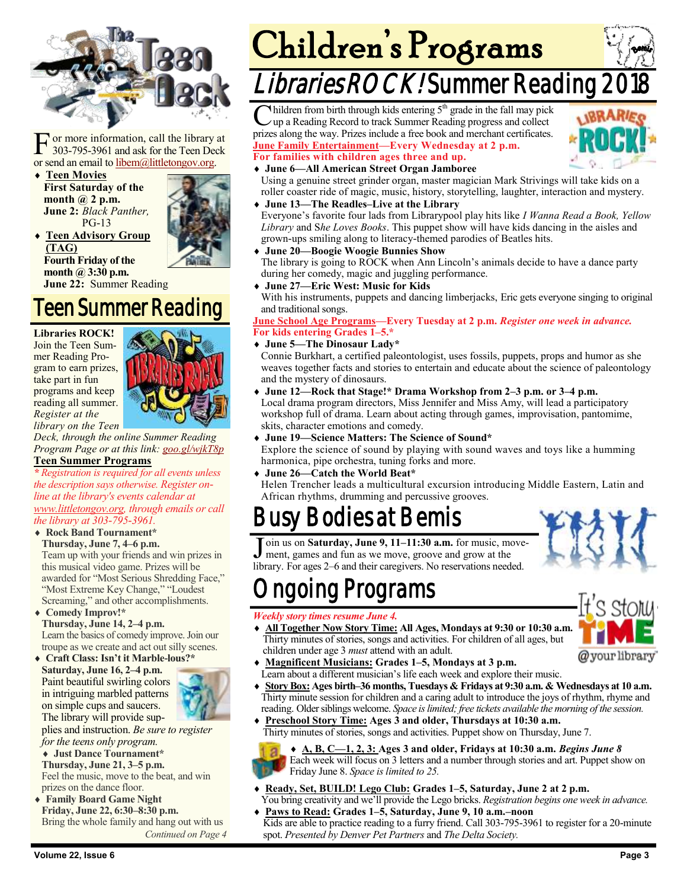

F or more information, call the library at 303-795-3961 and ask for the Teen Deck or send an email to [libem@littletongov.org.](mailto:libem@littletongov.org.)

 **Teen Movies First Saturday of the month @ 2 p.m. June 2:** *Black Panther,* PG-13



**(TAG) Fourth Friday of the month @ 3:30 p.m. June 22:** Summer Reading

**Teen Advisory Group** 

## Teen Summer Reading

**Libraries ROCK!** Join the Teen Summer Reading Program to earn prizes, take part in fun programs and keep

*Register at the* 



*library on the Teen Deck, through the online Summer Reading Program Page or at this link: [goo.gl/wjkT8p](https://docs.google.com/a/littletongov.org/forms/d/e/1FAIpQLSe4NMgoCtV-z0BZdI5U5iZLhdIOqBrBUh2QqClSfKCVb_t-pA/closedform)*

#### **Teen Summer Programs**

*\* Registration is required for all events unless the description says otherwise. Register online at the library's events calendar at [www.littletongov.org,](https://www.littletongov.org/city-services/city-departments/bemis-library/library-events-calendar/-selcat-97/-curm-6/-cury-2018) through emails or call the library at 303-795-3961.*

#### **Rock Band Tournament\* Thursday, June 7, 4–6 p.m.**

Team up with your friends and win prizes in this musical video game. Prizes will be awarded for "Most Serious Shredding Face," "Most Extreme Key Change," "Loudest Screaming," and other accomplishments.

- **Comedy Improv!\* Thursday, June 14, 2–4 p.m.** Learn the basics of comedy improve. Join our troupe as we create and act out silly scenes.
- **Craft Class: Isn't it Marble-lous?\* Saturday, June 16, 2–4 p.m.** Paint beautiful swirling colors in intriguing marbled patterns on simple cups and saucers. The library will provide sup-



 **Just Dance Tournament\* Thursday, June 21, 3–5 p.m.** Feel the music, move to the beat, and win prizes on the dance floor.

 **Family Board Game Night Friday, June 22, 6:30–8:30 p.m.** Bring the whole family and hang out with us *Continued on Page 4*

# Children's Programs

## Libraries ROCK! Summer Reading

 $C$  hildren from birth through kids entering  $5<sup>th</sup>$  grade in the fall may pick up a Reading Record to track Summer Reading progress and collect Inildren from birth through kids entering  $5<sup>th</sup>$  grade in the fall may pick prizes along the way. Prizes include a free book and merchant certificates. **June Family Entertainment—Every Wednesday at 2 p.m. For families with children ages three and up.**



#### **June 6—All American Street Organ Jamboree**

Using a genuine street grinder organ, master magician Mark Strivings will take kids on a roller coaster ride of magic, music, history, storytelling, laughter, interaction and mystery.

**June 13—The Readles–Live at the Library**

Everyone's favorite four lads from Librarypool play hits like *I Wanna Read a Book, Yellow Library* and S*he Loves Books*. This puppet show will have kids dancing in the aisles and grown-ups smiling along to literacy-themed parodies of Beatles hits.

**June 20—Boogie Woogie Bunnies Show**

The library is going to ROCK when Ann Lincoln's animals decide to have a dance party during her comedy, magic and juggling performance.

**June 27—Eric West: Music for Kids**

With his instruments, puppets and dancing limberjacks, Eric gets everyone singing to original and traditional songs.

#### **June School Age Programs—Every Tuesday at 2 p.m.** *Register one week in advance.* **For kids entering Grades 1–5.\***

**June 5—The Dinosaur Lady\***

Connie Burkhart, a certified paleontologist, uses fossils, puppets, props and humor as she weaves together facts and stories to entertain and educate about the science of paleontology and the mystery of dinosaurs.

- **June 12—Rock that Stage!\* Drama Workshop from 2–3 p.m. or 3–4 p.m.** Local drama program directors, Miss Jennifer and Miss Amy, will lead a participatory workshop full of drama. Learn about acting through games, improvisation, pantomime, skits, character emotions and comedy.
- **June 19—Science Matters: The Science of Sound\***

Explore the science of sound by playing with sound waves and toys like a humming harmonica, pipe orchestra, tuning forks and more.

**June 26—Catch the World Beat\***

Helen Trencher leads a multicultural excursion introducing Middle Eastern, Latin and African rhythms, drumming and percussive grooves.

## **Bodies at Bemis**

Join us on **Saturday, June 9, 11–11:30 a.m.** for music, move<br>ment, games and fun as we move, groove and grow at the<br>library. For ages 2–6 and their caregivers. No reservations needed. oin us on **Saturday, June 9, 11–11:30 a.m.** for music, movement, games and fun as we move, groove and grow at the



#### *Weekly story times resume June 4.*

 **All Together Now Story Time: All Ages, Mondays at 9:30 or 10:30 a.m.** Thirty minutes of stories, songs and activities. For children of all ages, but children under age 3 *must* attend with an adult.



- **Magnificent Musicians: Grades 1–5, Mondays at 3 p.m.** Learn about a different musician's life each week and explore their music.
- **Story Box: Ages birth–36 months, Tuesdays & Fridays at 9:30 a.m. & Wednesdays at 10 a.m.** Thirty minute session for children and a caring adult to introduce the joys of rhythm, rhyme and reading. Older siblings welcome. *Space is limited; free tickets available the morning of the session.*
- **Preschool Story Time: Ages 3 and older, Thursdays at 10:30 a.m.** Thirty minutes of stories, songs and activities. Puppet show on Thursday, June 7.

 **A, B, C—1, 2, 3: Ages 3 and older, Fridays at 10:30 a.m.** *Begins June 8* Each week will focus on 3 letters and a number through stories and art. Puppet show on Friday June 8. *Space is limited to 25.*

- **Ready, Set, BUILD! Lego Club: Grades 1–5, Saturday, June 2 at 2 p.m.** You bring creativity and we'll provide the Lego bricks. *Registration begins one week in advance.*
- **Paws to Read: Grades 1–5, Saturday, June 9, 10 a.m.–noon** Kids are able to practice reading to a furry friend. Call 303-795-3961 to register for a 20-minute spot. *Presented by Denver Pet Partners* and *The Delta Society.*